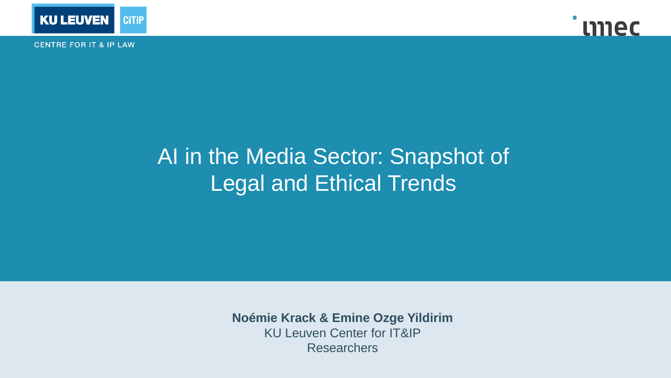

**CENTRE FOR IT & IP LAW** 



# AI in the Media Sector: Snapshot of Legal and Ethical Trends

**Noémie Krack & Emine Ozge Yildirim** KU Leuven Center for IT&IP **Researchers**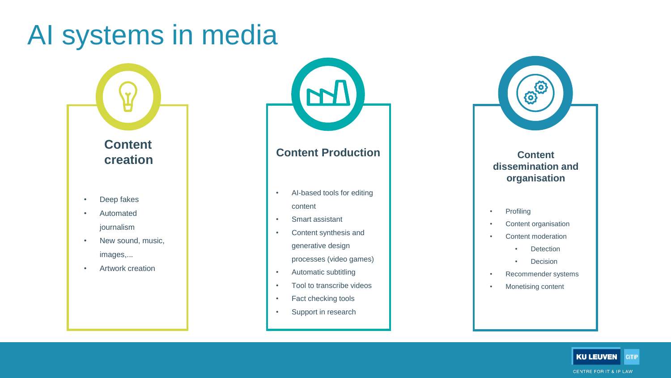# AI systems in media



- Deep fakes
- **Automated** journalism
- New sound, music, images,...
- Artwork creation



### **Content Production**

- AI-based tools for editing content
- Smart assistant
- Content synthesis and generative design
	- processes (video games)
- Automatic subtitling
- Tool to transcribe videos
- Fact checking tools
- Support in research



### **Content dissemination and organisation**

- Profiling
- Content organisation
- Content moderation
	- Detection
	- Decision
- Recommender systems
- Monetising content

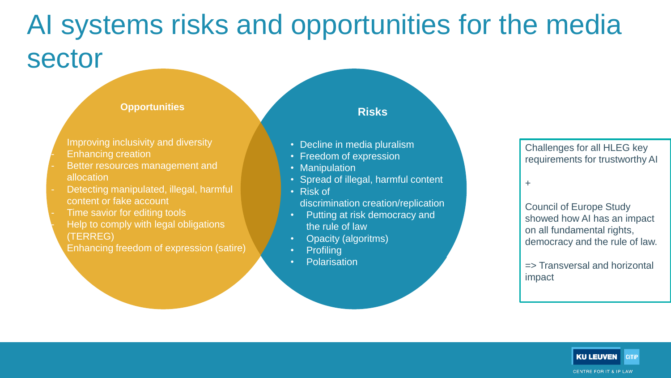# AI systems risks and opportunities for the media sector

#### **Opportunities**

Improving inclusivity and diversity - Enhancing creation

- Better resources management and allocation
- Detecting manipulated, illegal, harmful content or fake account
- Time savior for editing tools Help to comply with legal obligations (TERREG)

Enhancing freedom of expression (satire)

### **Risks**

- Decline in media pluralism
- Freedom of expression
- Manipulation
- Spread of illegal, harmful content
- Risk of discrimination creation/replication
- Putting at risk democracy and the rule of law
- Opacity (algoritms)
- Profiling
- Polarisation

#### Challenges for all HLEG key requirements for trustworthy AI

+

Council of Europe Study showed how AI has an impact on all fundamental rights, democracy and the rule of law.

=> Transversal and horizontal impact

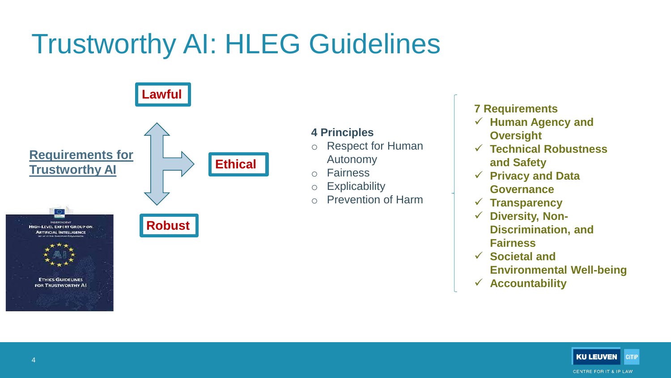# Trustworthy AI: HLEG Guidelines



### **4 Principles**

- o Respect for Human
	- Autonomy
- o Fairness
- o Explicability
- o Prevention of Harm

### **7 Requirements**

- ✓ **Human Agency and Oversight**
- ✓ **Technical Robustness and Safety**
- ✓ **Privacy and Data Governance**
- ✓ **Transparency**
- ✓ **Diversity, Non-Discrimination, and Fairness**
- ✓ **Societal and Environmental Well-being**
- ✓ **Accountability**

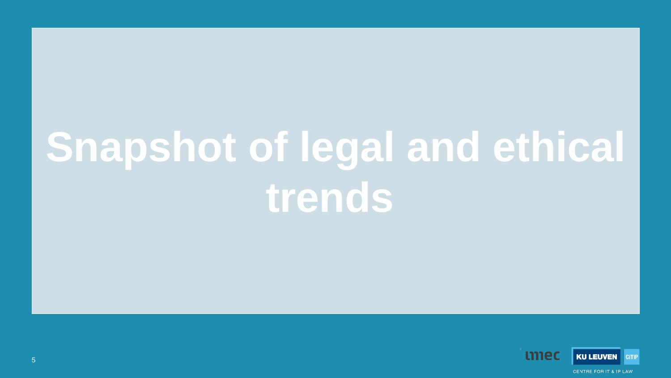# **Snapshot of legal and ethical trends**

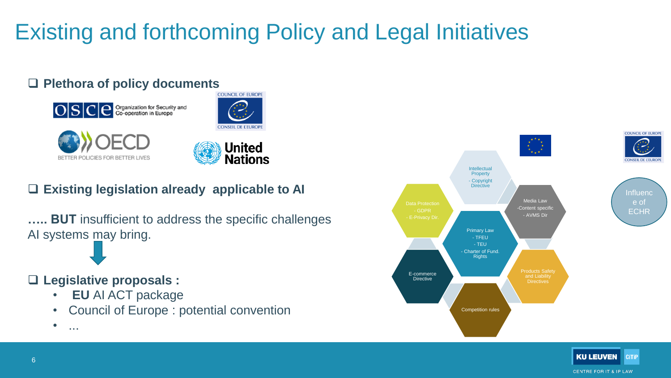# Existing and forthcoming Policy and Legal Initiatives

### ❑ **Plethora of policy documents**









## ❑ **Existing legislation already applicable to AI**

**….. BUT** insufficient to address the specific challenges AI systems may bring.

### ❑ **Legislative proposals :**

- **EU** AI ACT package
- Council of Europe : potential convention





 $\bullet$  ...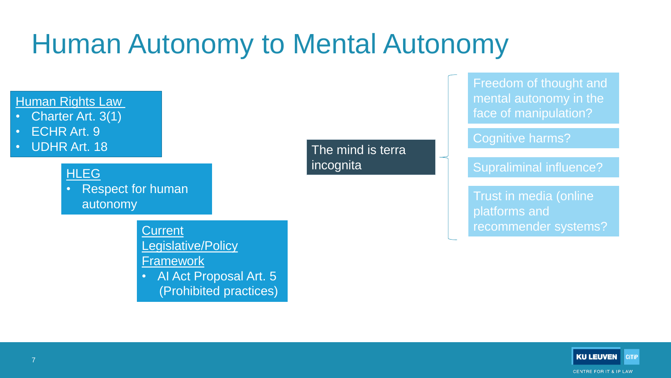# Human Autonomy to Mental Autonomy



**KU LEUVEN CiTIP CENTRE FOR IT & IP LAW**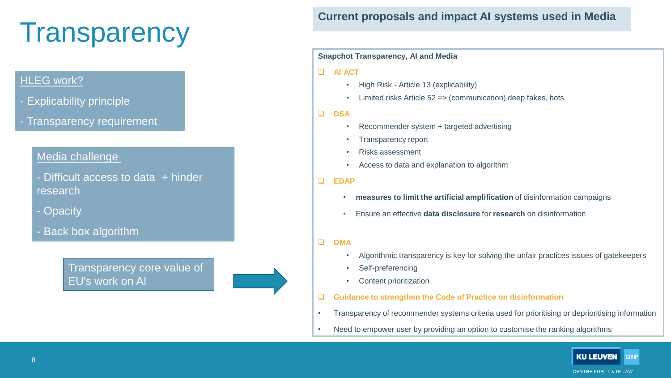# **Transparency**

### HLEG work?

- Explicability principle
- Transparency requirement

### Media challenge

- Difficult access to data + hinder research
- Opacity
- Back box algorithm

Transparency core value of EU's work on AI



#### **Snapchot Transparency, AI and Media**

#### ❑ **AI ACT**

- High Risk Article 13 (explicability)
- Limited risks Article 52 => (communication) deep fakes, bots

#### ❑ **DSA**

- Recommender system + targeted advertising
- Transparency report
- Risks assessment
- Access to data and explanation to algorithm
- ❑ **EDAP**
	- **measures to limit the artificial amplification** of disinformation campaigns
	- Ensure an effective **data disclosure** for **research** on disinformation
- ❑ **DMA**
	- Algorithmic transparency is key for solving the unfair practices issues of gatekeepers
	- Self-preferencing
	- Content prioritization
- ❑ **Guidance to strengthen the Code of Practice on disinformation**
- Transparency of recommender systems criteria used for prioritising or deprioritising information
- Need to empower user by providing an option to customise the ranking algorithms